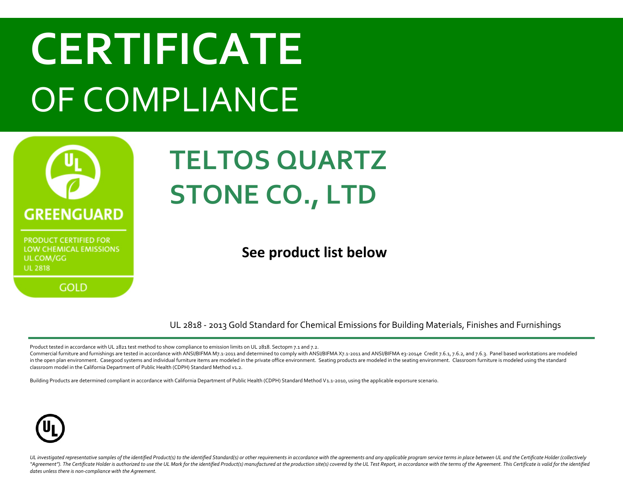

**GOLD** 

#### **TELTOS QUARTZ STONE CO., LTD**

#### **See product list below**

UL 2818 - 2013 Gold Standard for Chemical Emissions for Building Materials, Finishes and Furnishings

Product tested in accordance with UL 2821 test method to show compliance to emission limits on UL 2818. Sectopm 7.1 and 7.2.

Commercial furniture and furnishings are tested in accordance with ANSI/BIFMA M7.1-2011 and determined to comply with ANSI/BIFMA X7.1-2011 and ANSI/BIFMA e3-2014e Credit 7.6.1, 7.6.2, and 7.6.3. Panel based workstations ar in the open plan environment. Casegood systems and individual furniture items are modeled in the private office environment. Seating products are modeled in the seating environment. Classroom furniture is modeled using the classroom model in the California Department of Public Health (CDPH) Standard Method v1.2.

Building Products are determined compliant in accordance with California Department of Public Health (CDPH) Standard Method V1.1-2010, using the applicable exporsure scenario.

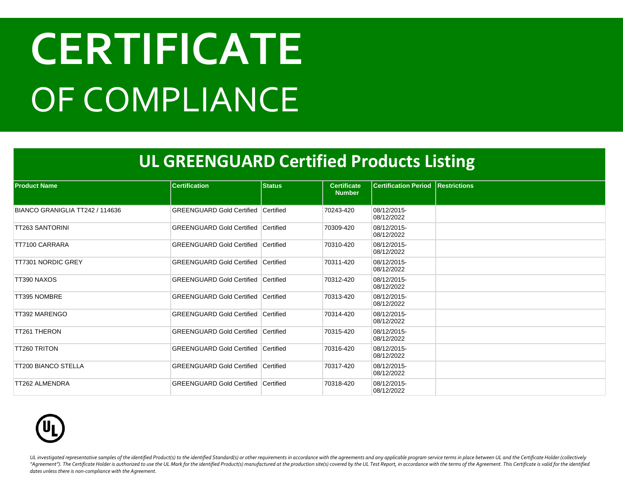#### **UL GREENGUARD Certified Products Listing**

| <b>Product Name</b>             | <b>Certification</b>                       | <b>Status</b> | <b>Certificate</b> | <b>Certification Period Restrictions</b> |  |
|---------------------------------|--------------------------------------------|---------------|--------------------|------------------------------------------|--|
|                                 |                                            |               | <b>Number</b>      |                                          |  |
| BIANCO GRANIGLIA TT242 / 114636 | <b>GREENGUARD Gold Certified Certified</b> |               | 70243-420          | 08/12/2015-<br>08/12/2022                |  |
| TT263 SANTORINI                 | GREENGUARD Gold Certified Certified        |               | 70309-420          | 08/12/2015-<br>08/12/2022                |  |
| TT7100 CARRARA                  | <b>GREENGUARD Gold Certified Certified</b> |               | 70310-420          | 08/12/2015-<br>08/12/2022                |  |
| TT7301 NORDIC GREY              | <b>GREENGUARD Gold Certified Certified</b> |               | 70311-420          | 08/12/2015-<br>08/12/2022                |  |
| TT390 NAXOS                     | <b>GREENGUARD Gold Certified Certified</b> |               | 70312-420          | 08/12/2015-<br>08/12/2022                |  |
| <b>TT395 NOMBRE</b>             | <b>GREENGUARD Gold Certified Certified</b> |               | 70313-420          | 08/12/2015-<br>08/12/2022                |  |
| TT392 MARENGO                   | <b>GREENGUARD Gold Certified Certified</b> |               | 70314-420          | 08/12/2015-<br>08/12/2022                |  |
| TT261 THERON                    | <b>GREENGUARD Gold Certified Certified</b> |               | 70315-420          | 08/12/2015-<br>08/12/2022                |  |
| <b>TT260 TRITON</b>             | <b>GREENGUARD Gold Certified Certified</b> |               | 70316-420          | 08/12/2015-<br>08/12/2022                |  |
| <b>TT200 BIANCO STELLA</b>      | <b>GREENGUARD Gold Certified Certified</b> |               | 70317-420          | 08/12/2015-<br>08/12/2022                |  |
| TT262 ALMENDRA                  | <b>GREENGUARD Gold Certified Certified</b> |               | 70318-420          | 08/12/2015-<br>08/12/2022                |  |

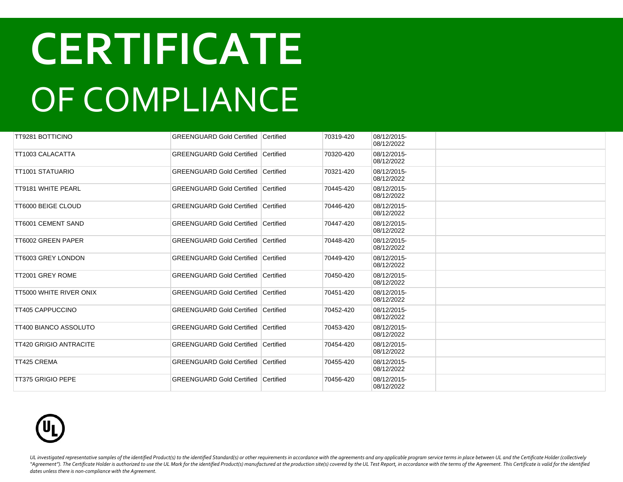| <b>TT9281 BOTTICINO</b>       | <b>GREENGUARD Gold Certified Certified</b> |           | 70319-420 | 08/12/2015-<br>08/12/2022 |  |
|-------------------------------|--------------------------------------------|-----------|-----------|---------------------------|--|
| TT1003 CALACATTA              | <b>GREENGUARD Gold Certified Certified</b> |           | 70320-420 | 08/12/2015-<br>08/12/2022 |  |
| <b>TT1001 STATUARIO</b>       | <b>GREENGUARD Gold Certified Certified</b> |           | 70321-420 | 08/12/2015-<br>08/12/2022 |  |
| <b>TT9181 WHITE PEARL</b>     | <b>GREENGUARD Gold Certified Certified</b> |           | 70445-420 | 08/12/2015-<br>08/12/2022 |  |
| <b>TT6000 BEIGE CLOUD</b>     | <b>GREENGUARD Gold Certified Certified</b> |           | 70446-420 | 08/12/2015-<br>08/12/2022 |  |
| <b>TT6001 CEMENT SAND</b>     | <b>GREENGUARD Gold Certified Certified</b> |           | 70447-420 | 08/12/2015-<br>08/12/2022 |  |
| <b>TT6002 GREEN PAPER</b>     | <b>GREENGUARD Gold Certified Certified</b> |           | 70448-420 | 08/12/2015-<br>08/12/2022 |  |
| <b>TT6003 GREY LONDON</b>     | <b>GREENGUARD Gold Certified</b>           | Certified | 70449-420 | 08/12/2015-<br>08/12/2022 |  |
| TT2001 GREY ROME              | <b>GREENGUARD Gold Certified Certified</b> |           | 70450-420 | 08/12/2015-<br>08/12/2022 |  |
| TT5000 WHITE RIVER ONIX       | <b>GREENGUARD Gold Certified Certified</b> |           | 70451-420 | 08/12/2015-<br>08/12/2022 |  |
| <b>TT405 CAPPUCCINO</b>       | <b>GREENGUARD Gold Certified Certified</b> |           | 70452-420 | 08/12/2015-<br>08/12/2022 |  |
| TT400 BIANCO ASSOLUTO         | <b>GREENGUARD Gold Certified Certified</b> |           | 70453-420 | 08/12/2015-<br>08/12/2022 |  |
| <b>TT420 GRIGIO ANTRACITE</b> | <b>GREENGUARD Gold Certified Certified</b> |           | 70454-420 | 08/12/2015-<br>08/12/2022 |  |
| <b>TT425 CREMA</b>            | <b>GREENGUARD Gold Certified Certified</b> |           | 70455-420 | 08/12/2015-<br>08/12/2022 |  |
| <b>TT375 GRIGIO PEPE</b>      | GREENGUARD Gold Certified Certified        |           | 70456-420 | 08/12/2015-<br>08/12/2022 |  |

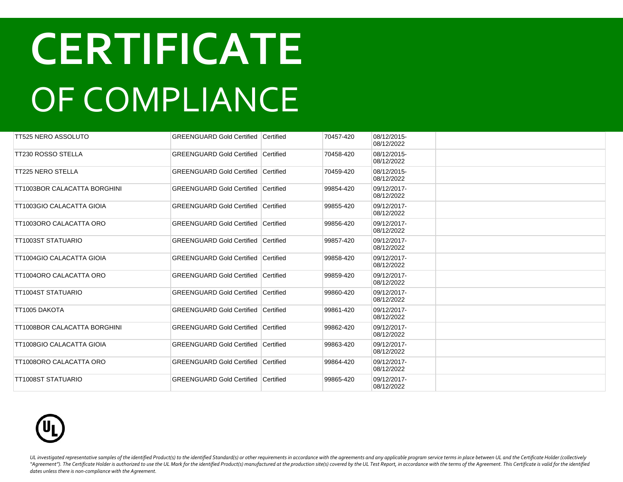| TT525 NERO ASSOLUTO          | <b>GREENGUARD Gold Certified Certified</b> |                  | 70457-420 | 08/12/2015-<br>08/12/2022 |  |
|------------------------------|--------------------------------------------|------------------|-----------|---------------------------|--|
| <b>TT230 ROSSO STELLA</b>    | <b>GREENGUARD Gold Certified</b>           | Certified        | 70458-420 | 08/12/2015-<br>08/12/2022 |  |
| <b>TT225 NERO STELLA</b>     | <b>GREENGUARD Gold Certified Certified</b> |                  | 70459-420 | 08/12/2015-<br>08/12/2022 |  |
| TT1003BOR CALACATTA BORGHINI | <b>GREENGUARD Gold Certified</b>           | Certified        | 99854-420 | 09/12/2017-<br>08/12/2022 |  |
| TT1003GIO CALACATTA GIOIA    | <b>GREENGUARD Gold Certified Certified</b> |                  | 99855-420 | 09/12/2017-<br>08/12/2022 |  |
| TT1003ORO CALACATTA ORO      | <b>GREENGUARD Gold Certified Certified</b> |                  | 99856-420 | 09/12/2017-<br>08/12/2022 |  |
| TT1003ST STATUARIO           | <b>GREENGUARD Gold Certified</b>           | Certified        | 99857-420 | 09/12/2017-<br>08/12/2022 |  |
| TT1004GIO CALACATTA GIOIA    | <b>GREENGUARD Gold Certified</b>           | Certified        | 99858-420 | 09/12/2017-<br>08/12/2022 |  |
| TT1004ORO CALACATTA ORO      | <b>GREENGUARD Gold Certified</b>           | <b>Certified</b> | 99859-420 | 09/12/2017-<br>08/12/2022 |  |
| TT1004ST STATUARIO           | <b>GREENGUARD Gold Certified Certified</b> |                  | 99860-420 | 09/12/2017-<br>08/12/2022 |  |
| TT1005 DAKOTA                | <b>GREENGUARD Gold Certified Certified</b> |                  | 99861-420 | 09/12/2017-<br>08/12/2022 |  |
| TT1008BOR CALACATTA BORGHINI | <b>GREENGUARD Gold Certified Certified</b> |                  | 99862-420 | 09/12/2017-<br>08/12/2022 |  |
| TT1008GIO CALACATTA GIOIA    | <b>GREENGUARD Gold Certified Certified</b> |                  | 99863-420 | 09/12/2017-<br>08/12/2022 |  |
| TT1008ORO CALACATTA ORO      | <b>GREENGUARD Gold Certified Certified</b> |                  | 99864-420 | 09/12/2017-<br>08/12/2022 |  |
| TT1008ST STATUARIO           | <b>GREENGUARD Gold Certified Certified</b> |                  | 99865-420 | 09/12/2017-<br>08/12/2022 |  |

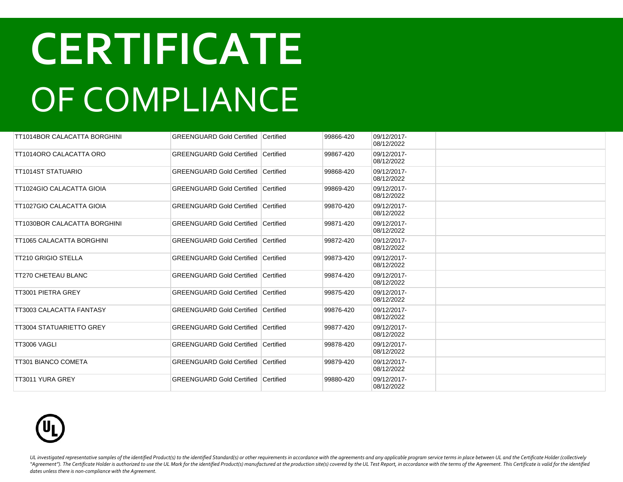| TT1014BOR CALACATTA BORGHINI    | <b>GREENGUARD Gold Certified Certified</b>   |                  | 99866-420 | 09/12/2017-<br>08/12/2022 |  |
|---------------------------------|----------------------------------------------|------------------|-----------|---------------------------|--|
| TT1014ORO CALACATTA ORO         | <b>GREENGUARD Gold Certified Certified</b>   |                  | 99867-420 | 09/12/2017-<br>08/12/2022 |  |
| TT1014ST STATUARIO              | <b>GREENGUARD Gold Certified Certified</b>   |                  | 99868-420 | 09/12/2017-<br>08/12/2022 |  |
| TT1024GIO CALACATTA GIOIA       | <b>GREENGUARD Gold Certified</b>             | <b>Certified</b> | 99869-420 | 09/12/2017-<br>08/12/2022 |  |
| TT1027GIO CALACATTA GIOIA       | <b>GREENGUARD Gold Certified Certified</b>   |                  | 99870-420 | 09/12/2017-<br>08/12/2022 |  |
| TT1030BOR CALACATTA BORGHINI    | <b>GREENGUARD Gold Certified</b>             | Certified        | 99871-420 | 09/12/2017-<br>08/12/2022 |  |
| TT1065 CALACATTA BORGHINI       | <b>GREENGUARD Gold Certified   Certified</b> |                  | 99872-420 | 09/12/2017-<br>08/12/2022 |  |
| <b>TT210 GRIGIO STELLA</b>      | <b>GREENGUARD Gold Certified Certified</b>   |                  | 99873-420 | 09/12/2017-<br>08/12/2022 |  |
| <b>TT270 CHETEAU BLANC</b>      | <b>GREENGUARD Gold Certified Certified</b>   |                  | 99874-420 | 09/12/2017-<br>08/12/2022 |  |
| TT3001 PIETRA GREY              | <b>GREENGUARD Gold Certified Certified</b>   |                  | 99875-420 | 09/12/2017-<br>08/12/2022 |  |
| TT3003 CALACATTA FANTASY        | <b>GREENGUARD Gold Certified Certified</b>   |                  | 99876-420 | 09/12/2017-<br>08/12/2022 |  |
| <b>TT3004 STATUARIETTO GREY</b> | <b>GREENGUARD Gold Certified Certified</b>   |                  | 99877-420 | 09/12/2017-<br>08/12/2022 |  |
| TT3006 VAGLI                    | <b>GREENGUARD Gold Certified Certified</b>   |                  | 99878-420 | 09/12/2017-<br>08/12/2022 |  |
| TT301 BIANCO COMETA             | <b>GREENGUARD Gold Certified Certified</b>   |                  | 99879-420 | 09/12/2017-<br>08/12/2022 |  |
| TT3011 YURA GREY                | <b>GREENGUARD Gold Certified Certified</b>   |                  | 99880-420 | 09/12/2017-<br>08/12/2022 |  |

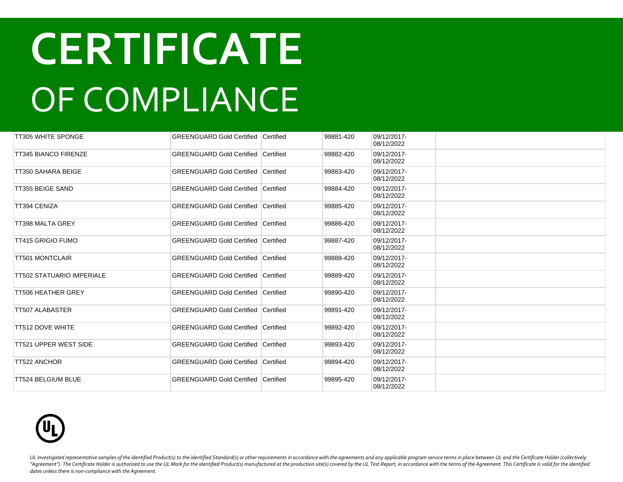| <b>TT305 WHITE SPONGE</b>        | <b>GREENGUARD Gold Certified Certified</b>   |                  | 99881-420 | 09/12/2017-<br>08/12/2022 |  |
|----------------------------------|----------------------------------------------|------------------|-----------|---------------------------|--|
| <b>TT345 BIANCO FIRENZE</b>      | <b>GREENGUARD Gold Certified</b>             | <b>Certified</b> | 99882-420 | 09/12/2017-<br>08/12/2022 |  |
| TT350 SAHARA BEIGE               | <b>GREENGUARD Gold Certified Certified</b>   |                  | 99883-420 | 09/12/2017-<br>08/12/2022 |  |
| TT355 BEIGE SAND                 | <b>GREENGUARD Gold Certified   Certified</b> |                  | 99884-420 | 09/12/2017-<br>08/12/2022 |  |
| <b>TT394 CENIZA</b>              | <b>GREENGUARD Gold Certified Certified</b>   |                  | 99885-420 | 09/12/2017-<br>08/12/2022 |  |
| TT398 MALTA GREY                 | <b>GREENGUARD Gold Certified</b>             | Certified        | 99886-420 | 09/12/2017-<br>08/12/2022 |  |
| <b>TT415 GRIGIO FUMO</b>         | <b>GREENGUARD Gold Certified Certified</b>   |                  | 99887-420 | 09/12/2017-<br>08/12/2022 |  |
| <b>TT501 MONTCLAIR</b>           | <b>GREENGUARD Gold Certified Certified</b>   |                  | 99888-420 | 09/12/2017-<br>08/12/2022 |  |
| <b>TT502 STATUARIO IMPERIALE</b> | <b>GREENGUARD Gold Certified Certified</b>   |                  | 99889-420 | 09/12/2017-<br>08/12/2022 |  |
| <b>TT506 HEATHER GREY</b>        | <b>GREENGUARD Gold Certified Certified</b>   |                  | 99890-420 | 09/12/2017-<br>08/12/2022 |  |
| <b>TT507 ALABASTER</b>           | <b>GREENGUARD Gold Certified Certified</b>   |                  | 99891-420 | 09/12/2017-<br>08/12/2022 |  |
| <b>TT512 DOVE WHITE</b>          | <b>GREENGUARD Gold Certified Certified</b>   |                  | 99892-420 | 09/12/2017-<br>08/12/2022 |  |
| <b>TT521 UPPER WEST SIDE</b>     | <b>GREENGUARD Gold Certified Certified</b>   |                  | 99893-420 | 09/12/2017-<br>08/12/2022 |  |
| <b>TT522 ANCHOR</b>              | <b>GREENGUARD Gold Certified Certified</b>   |                  | 99894-420 | 09/12/2017-<br>08/12/2022 |  |
| <b>TT524 BELGIUM BLUE</b>        | <b>GREENGUARD Gold Certified Certified</b>   |                  | 99895-420 | 09/12/2017-<br>08/12/2022 |  |

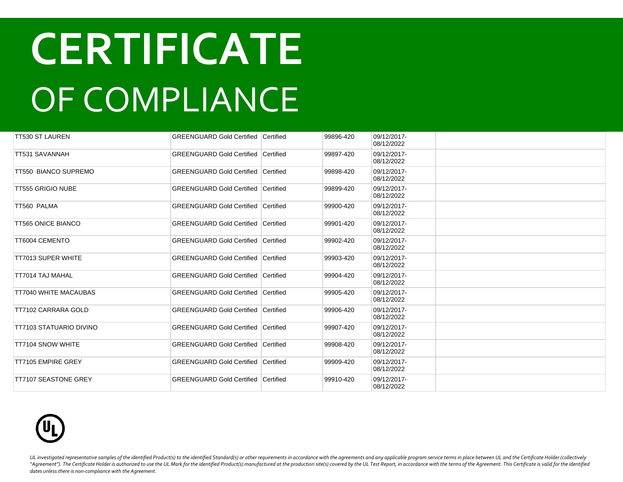| TT530 ST LAUREN                | <b>GREENGUARD Gold Certified Certified</b> |                  | 99896-420 | 09/12/2017-<br>08/12/2022 |  |
|--------------------------------|--------------------------------------------|------------------|-----------|---------------------------|--|
| TT531 SAVANNAH                 | <b>GREENGUARD Gold Certified Certified</b> |                  | 99897-420 | 09/12/2017-<br>08/12/2022 |  |
| <b>TT550 BIANCO SUPREMO</b>    | <b>GREENGUARD Gold Certified Certified</b> |                  | 99898-420 | 09/12/2017-<br>08/12/2022 |  |
| <b>TT555 GRIGIO NUBE</b>       | <b>GREENGUARD Gold Certified</b>           | <b>Certified</b> | 99899-420 | 09/12/2017-<br>08/12/2022 |  |
| TT560 PALMA                    | <b>GREENGUARD Gold Certified Certified</b> |                  | 99900-420 | 09/12/2017-<br>08/12/2022 |  |
| <b>TT565 ONICE BIANCO</b>      | <b>GREENGUARD Gold Certified</b>           | <b>Certified</b> | 99901-420 | 09/12/2017-<br>08/12/2022 |  |
| TT6004 CEMENTO                 | <b>GREENGUARD Gold Certified Certified</b> |                  | 99902-420 | 09/12/2017-<br>08/12/2022 |  |
| <b>TT7013 SUPER WHITE</b>      | <b>GREENGUARD Gold Certified Certified</b> |                  | 99903-420 | 09/12/2017-<br>08/12/2022 |  |
| <b>TT7014 TAJ MAHAL</b>        | <b>GREENGUARD Gold Certified Certified</b> |                  | 99904-420 | 09/12/2017-<br>08/12/2022 |  |
| TT7040 WHITE MACAUBAS          | <b>GREENGUARD Gold Certified Certified</b> |                  | 99905-420 | 09/12/2017-<br>08/12/2022 |  |
| TT7102 CARRARA GOLD            | <b>GREENGUARD Gold Certified Certified</b> |                  | 99906-420 | 09/12/2017-<br>08/12/2022 |  |
| <b>TT7103 STATUARIO DIVINO</b> | <b>GREENGUARD Gold Certified Certified</b> |                  | 99907-420 | 09/12/2017-<br>08/12/2022 |  |
| <b>TT7104 SNOW WHITE</b>       | <b>GREENGUARD Gold Certified Certified</b> |                  | 99908-420 | 09/12/2017-<br>08/12/2022 |  |
| <b>TT7105 EMPIRE GREY</b>      | <b>GREENGUARD Gold Certified Certified</b> |                  | 99909-420 | 09/12/2017-<br>08/12/2022 |  |
| <b>TT7107 SEASTONE GREY</b>    | <b>GREENGUARD Gold Certified Certified</b> |                  | 99910-420 | 09/12/2017-<br>08/12/2022 |  |

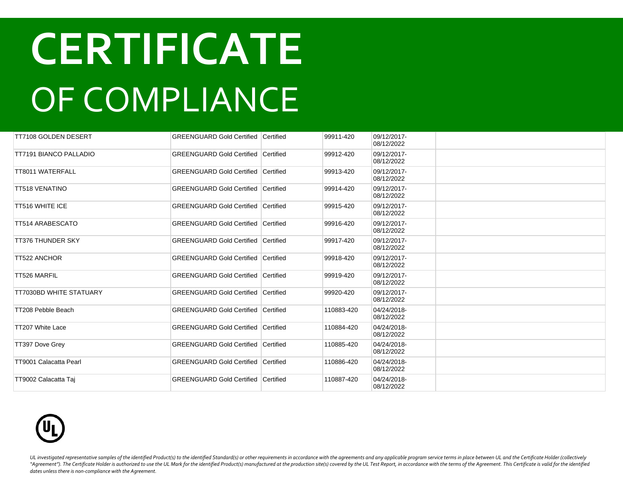| TT7108 GOLDEN DESERT           | <b>GREENGUARD Gold Certified Certified</b> |                  | 99911-420  | 09/12/2017-<br>08/12/2022 |  |
|--------------------------------|--------------------------------------------|------------------|------------|---------------------------|--|
| <b>TT7191 BIANCO PALLADIO</b>  | <b>GREENGUARD Gold Certified Certified</b> |                  | 99912-420  | 09/12/2017-<br>08/12/2022 |  |
| TT8011 WATERFALL               | <b>GREENGUARD Gold Certified Certified</b> |                  | 99913-420  | 09/12/2017-<br>08/12/2022 |  |
| <b>TT518 VENATINO</b>          | <b>GREENGUARD Gold Certified</b>           | <b>Certified</b> | 99914-420  | 09/12/2017-<br>08/12/2022 |  |
| <b>TT516 WHITE ICE</b>         | <b>GREENGUARD Gold Certified Certified</b> |                  | 99915-420  | 09/12/2017-<br>08/12/2022 |  |
| <b>TT514 ARABESCATO</b>        | <b>GREENGUARD Gold Certified Certified</b> |                  | 99916-420  | 09/12/2017-<br>08/12/2022 |  |
| <b>TT376 THUNDER SKY</b>       | <b>GREENGUARD Gold Certified Certified</b> |                  | 99917-420  | 09/12/2017-<br>08/12/2022 |  |
| <b>TT522 ANCHOR</b>            | <b>GREENGUARD Gold Certified</b>           | Certified        | 99918-420  | 09/12/2017-<br>08/12/2022 |  |
| TT526 MARFIL                   | <b>GREENGUARD Gold Certified</b>           | Certified        | 99919-420  | 09/12/2017-<br>08/12/2022 |  |
| <b>TT7030BD WHITE STATUARY</b> | <b>GREENGUARD Gold Certified Certified</b> |                  | 99920-420  | 09/12/2017-<br>08/12/2022 |  |
| TT208 Pebble Beach             | <b>GREENGUARD Gold Certified Certified</b> |                  | 110883-420 | 04/24/2018-<br>08/12/2022 |  |
| TT207 White Lace               | <b>GREENGUARD Gold Certified Certified</b> |                  | 110884-420 | 04/24/2018-<br>08/12/2022 |  |
| TT397 Dove Grey                | <b>GREENGUARD Gold Certified Certified</b> |                  | 110885-420 | 04/24/2018-<br>08/12/2022 |  |
| TT9001 Calacatta Pearl         | <b>GREENGUARD Gold Certified Certified</b> |                  | 110886-420 | 04/24/2018-<br>08/12/2022 |  |
| TT9002 Calacatta Tai           | <b>GREENGUARD Gold Certified Certified</b> |                  | 110887-420 | 04/24/2018-<br>08/12/2022 |  |

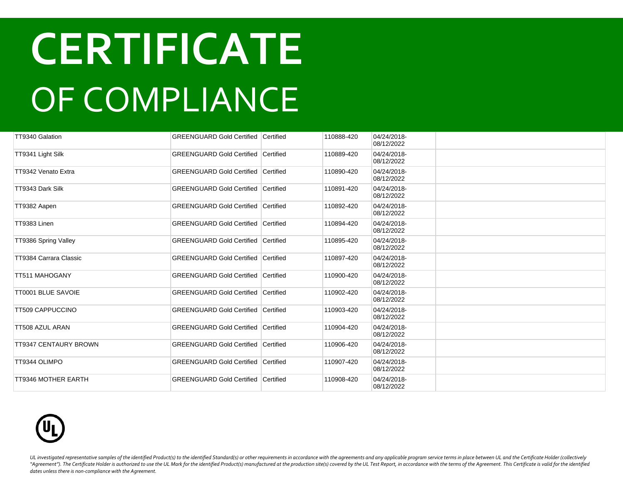| TT9340 Galation              | <b>GREENGUARD Gold Certified Certified</b> | 110888-420 | 04/24/2018-<br>08/12/2022 |  |
|------------------------------|--------------------------------------------|------------|---------------------------|--|
| TT9341 Light Silk            | <b>GREENGUARD Gold Certified Certified</b> | 110889-420 | 04/24/2018-<br>08/12/2022 |  |
| TT9342 Venato Extra          | <b>GREENGUARD Gold Certified Certified</b> | 110890-420 | 04/24/2018-<br>08/12/2022 |  |
| TT9343 Dark Silk             | <b>GREENGUARD Gold Certified Certified</b> | 110891-420 | 04/24/2018-<br>08/12/2022 |  |
| TT9382 Aapen                 | <b>GREENGUARD Gold Certified Certified</b> | 110892-420 | 04/24/2018-<br>08/12/2022 |  |
| TT9383 Linen                 | <b>GREENGUARD Gold Certified Certified</b> | 110894-420 | 04/24/2018-<br>08/12/2022 |  |
| TT9386 Spring Valley         | <b>GREENGUARD Gold Certified Certified</b> | 110895-420 | 04/24/2018-<br>08/12/2022 |  |
| TT9384 Carrara Classic       | <b>GREENGUARD Gold Certified Certified</b> | 110897-420 | 04/24/2018-<br>08/12/2022 |  |
| TT511 MAHOGANY               | <b>GREENGUARD Gold Certified Certified</b> | 110900-420 | 04/24/2018-<br>08/12/2022 |  |
| <b>TT0001 BLUE SAVOIE</b>    | <b>GREENGUARD Gold Certified Certified</b> | 110902-420 | 04/24/2018-<br>08/12/2022 |  |
| <b>TT509 CAPPUCCINO</b>      | <b>GREENGUARD Gold Certified Certified</b> | 110903-420 | 04/24/2018-<br>08/12/2022 |  |
| <b>TT508 AZUL ARAN</b>       | <b>GREENGUARD Gold Certified Certified</b> | 110904-420 | 04/24/2018-<br>08/12/2022 |  |
| <b>TT9347 CENTAURY BROWN</b> | <b>GREENGUARD Gold Certified Certified</b> | 110906-420 | 04/24/2018-<br>08/12/2022 |  |
| TT9344 OLIMPO                | <b>GREENGUARD Gold Certified Certified</b> | 110907-420 | 04/24/2018-<br>08/12/2022 |  |
| <b>TT9346 MOTHER EARTH</b>   | <b>GREENGUARD Gold Certified Certified</b> | 110908-420 | 04/24/2018-<br>08/12/2022 |  |

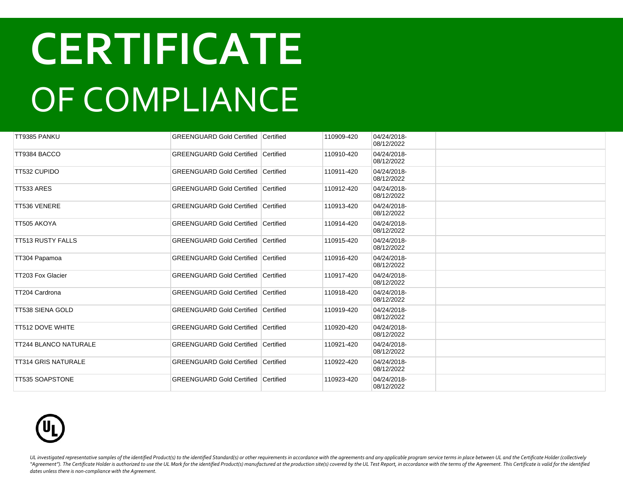| TT9385 PANKU                 | <b>GREENGUARD Gold Certified Certified</b> |           | 110909-420 | 04/24/2018-<br>08/12/2022 |  |
|------------------------------|--------------------------------------------|-----------|------------|---------------------------|--|
| TT9384 BACCO                 | <b>GREENGUARD Gold Certified</b>           | Certified | 110910-420 | 04/24/2018-<br>08/12/2022 |  |
| TT532 CUPIDO                 | <b>GREENGUARD Gold Certified Certified</b> |           | 110911-420 | 04/24/2018-<br>08/12/2022 |  |
| TT533 ARES                   | <b>GREENGUARD Gold Certified</b>           | Certified | 110912-420 | 04/24/2018-<br>08/12/2022 |  |
| TT536 VENERE                 | <b>GREENGUARD Gold Certified Certified</b> |           | 110913-420 | 04/24/2018-<br>08/12/2022 |  |
| TT505 AKOYA                  | <b>GREENGUARD Gold Certified Certified</b> |           | 110914-420 | 04/24/2018-<br>08/12/2022 |  |
| <b>TT513 RUSTY FALLS</b>     | <b>GREENGUARD Gold Certified Certified</b> |           | 110915-420 | 04/24/2018-<br>08/12/2022 |  |
| TT304 Papamoa                | <b>GREENGUARD Gold Certified</b>           | Certified | 110916-420 | 04/24/2018-<br>08/12/2022 |  |
| TT203 Fox Glacier            | <b>GREENGUARD Gold Certified Certified</b> |           | 110917-420 | 04/24/2018-<br>08/12/2022 |  |
| TT204 Cardrona               | <b>GREENGUARD Gold Certified Certified</b> |           | 110918-420 | 04/24/2018-<br>08/12/2022 |  |
| TT538 SIENA GOLD             | <b>GREENGUARD Gold Certified Certified</b> |           | 110919-420 | 04/24/2018-<br>08/12/2022 |  |
| <b>TT512 DOVE WHITE</b>      | <b>GREENGUARD Gold Certified Certified</b> |           | 110920-420 | 04/24/2018-<br>08/12/2022 |  |
| <b>TT244 BLANCO NATURALE</b> | <b>GREENGUARD Gold Certified Certified</b> |           | 110921-420 | 04/24/2018-<br>08/12/2022 |  |
| <b>TT314 GRIS NATURALE</b>   | <b>GREENGUARD Gold Certified Certified</b> |           | 110922-420 | 04/24/2018-<br>08/12/2022 |  |
| <b>TT535 SOAPSTONE</b>       | <b>GREENGUARD Gold Certified Certified</b> |           | 110923-420 | 04/24/2018-<br>08/12/2022 |  |

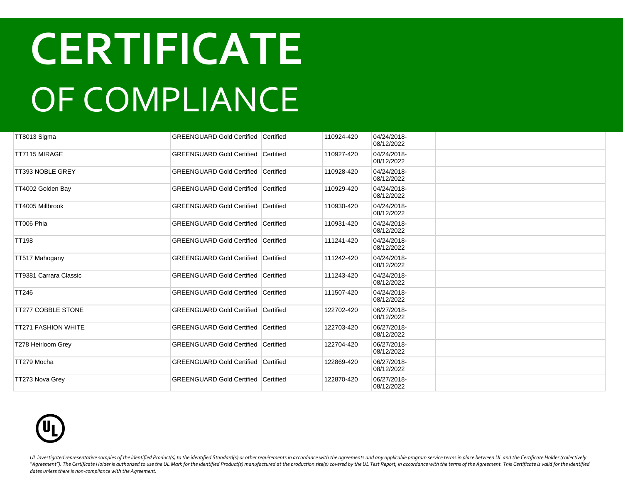| TT8013 Sigma               | <b>GREENGUARD Gold Certified Certified</b> |                  | 110924-420 | 04/24/2018-<br>08/12/2022 |  |
|----------------------------|--------------------------------------------|------------------|------------|---------------------------|--|
| TT7115 MIRAGE              | <b>GREENGUARD Gold Certified</b>           | Certified        | 110927-420 | 04/24/2018-<br>08/12/2022 |  |
| TT393 NOBLE GREY           | <b>GREENGUARD Gold Certified Certified</b> |                  | 110928-420 | 04/24/2018-<br>08/12/2022 |  |
| TT4002 Golden Bay          | <b>GREENGUARD Gold Certified</b>           | Certified        | 110929-420 | 04/24/2018-<br>08/12/2022 |  |
| TT4005 Millbrook           | <b>GREENGUARD Gold Certified Certified</b> |                  | 110930-420 | 04/24/2018-<br>08/12/2022 |  |
| TT006 Phia                 | <b>GREENGUARD Gold Certified</b>           | <b>Certified</b> | 110931-420 | 04/24/2018-<br>08/12/2022 |  |
| <b>TT198</b>               | <b>GREENGUARD Gold Certified Certified</b> |                  | 111241-420 | 04/24/2018-<br>08/12/2022 |  |
| TT517 Mahogany             | <b>GREENGUARD Gold Certified Certified</b> |                  | 111242-420 | 04/24/2018-<br>08/12/2022 |  |
| TT9381 Carrara Classic     | <b>GREENGUARD Gold Certified Certified</b> |                  | 111243-420 | 04/24/2018-<br>08/12/2022 |  |
| <b>TT246</b>               | <b>GREENGUARD Gold Certified Certified</b> |                  | 111507-420 | 04/24/2018-<br>08/12/2022 |  |
| <b>TT277 COBBLE STONE</b>  | <b>GREENGUARD Gold Certified Certified</b> |                  | 122702-420 | 06/27/2018-<br>08/12/2022 |  |
| <b>TT271 FASHION WHITE</b> | <b>GREENGUARD Gold Certified Certified</b> |                  | 122703-420 | 06/27/2018-<br>08/12/2022 |  |
| T278 Heirloom Grey         | <b>GREENGUARD Gold Certified Certified</b> |                  | 122704-420 | 06/27/2018-<br>08/12/2022 |  |
| TT279 Mocha                | <b>GREENGUARD Gold Certified Certified</b> |                  | 122869-420 | 06/27/2018-<br>08/12/2022 |  |
| TT273 Nova Grey            | <b>GREENGUARD Gold Certified Certified</b> |                  | 122870-420 | 06/27/2018-<br>08/12/2022 |  |

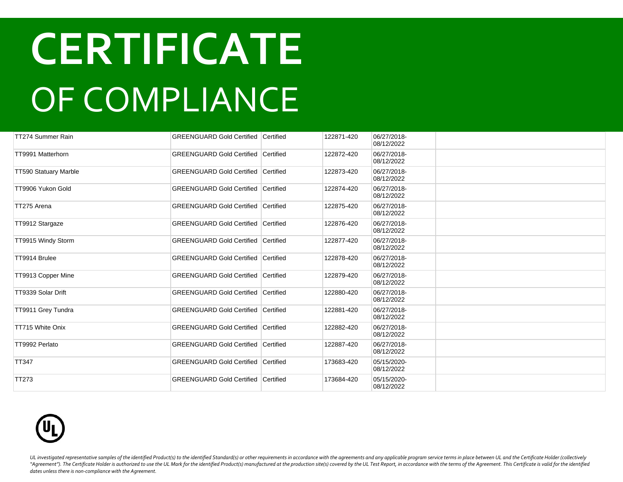| TT274 Summer Rain            | <b>GREENGUARD Gold Certified Certified</b> |           | 122871-420 | 06/27/2018-<br>08/12/2022 |  |
|------------------------------|--------------------------------------------|-----------|------------|---------------------------|--|
| TT9991 Matterhorn            | <b>GREENGUARD Gold Certified Certified</b> |           | 122872-420 | 06/27/2018-<br>08/12/2022 |  |
| <b>TT590 Statuary Marble</b> | <b>GREENGUARD Gold Certified Certified</b> |           | 122873-420 | 06/27/2018-<br>08/12/2022 |  |
| TT9906 Yukon Gold            | <b>GREENGUARD Gold Certified</b>           | Certified | 122874-420 | 06/27/2018-<br>08/12/2022 |  |
| TT275 Arena                  | <b>GREENGUARD Gold Certified Certified</b> |           | 122875-420 | 06/27/2018-<br>08/12/2022 |  |
| TT9912 Stargaze              | <b>GREENGUARD Gold Certified</b>           | Certified | 122876-420 | 06/27/2018-<br>08/12/2022 |  |
| TT9915 Windy Storm           | <b>GREENGUARD Gold Certified Certified</b> |           | 122877-420 | 06/27/2018-<br>08/12/2022 |  |
| TT9914 Brulee                | <b>GREENGUARD Gold Certified Certified</b> |           | 122878-420 | 06/27/2018-<br>08/12/2022 |  |
| TT9913 Copper Mine           | <b>GREENGUARD Gold Certified Certified</b> |           | 122879-420 | 06/27/2018-<br>08/12/2022 |  |
| TT9339 Solar Drift           | <b>GREENGUARD Gold Certified Certified</b> |           | 122880-420 | 06/27/2018-<br>08/12/2022 |  |
| TT9911 Grey Tundra           | <b>GREENGUARD Gold Certified Certified</b> |           | 122881-420 | 06/27/2018-<br>08/12/2022 |  |
| TT715 White Onix             | <b>GREENGUARD Gold Certified Certified</b> |           | 122882-420 | 06/27/2018-<br>08/12/2022 |  |
| TT9992 Perlato               | <b>GREENGUARD Gold Certified Certified</b> |           | 122887-420 | 06/27/2018-<br>08/12/2022 |  |
| <b>TT347</b>                 | <b>GREENGUARD Gold Certified Certified</b> |           | 173683-420 | 05/15/2020-<br>08/12/2022 |  |
| <b>TT273</b>                 | <b>GREENGUARD Gold Certified Certified</b> |           | 173684-420 | 05/15/2020-<br>08/12/2022 |  |

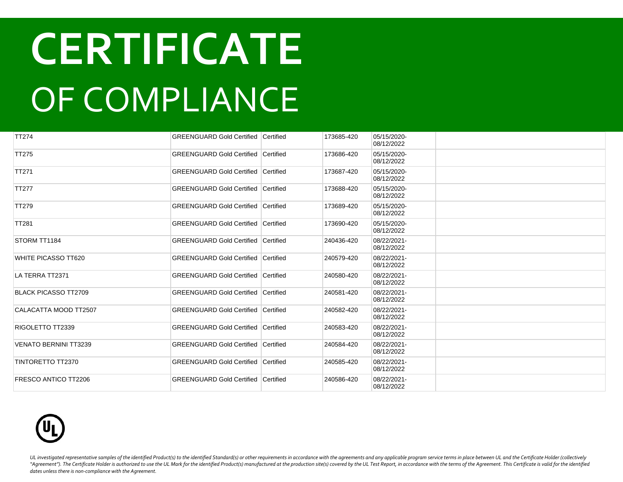| <b>TT274</b>                 | <b>GREENGUARD Gold Certified Certified</b> | 173685-420 | 05/15/2020-<br>08/12/2022 |  |
|------------------------------|--------------------------------------------|------------|---------------------------|--|
| <b>TT275</b>                 | <b>GREENGUARD Gold Certified Certified</b> | 173686-420 | 05/15/2020-<br>08/12/2022 |  |
| <b>TT271</b>                 | <b>GREENGUARD Gold Certified Certified</b> | 173687-420 | 05/15/2020-<br>08/12/2022 |  |
| <b>TT277</b>                 | <b>GREENGUARD Gold Certified Certified</b> | 173688-420 | 05/15/2020-<br>08/12/2022 |  |
| <b>TT279</b>                 | <b>GREENGUARD Gold Certified Certified</b> | 173689-420 | 05/15/2020-<br>08/12/2022 |  |
| <b>TT281</b>                 | <b>GREENGUARD Gold Certified Certified</b> | 173690-420 | 05/15/2020-<br>08/12/2022 |  |
| STORM TT1184                 | <b>GREENGUARD Gold Certified Certified</b> | 240436-420 | 08/22/2021-<br>08/12/2022 |  |
| <b>WHITE PICASSO TT620</b>   | <b>GREENGUARD Gold Certified Certified</b> | 240579-420 | 08/22/2021-<br>08/12/2022 |  |
| LA TERRA TT2371              | <b>GREENGUARD Gold Certified Certified</b> | 240580-420 | 08/22/2021-<br>08/12/2022 |  |
| <b>BLACK PICASSO TT2709</b>  | <b>GREENGUARD Gold Certified Certified</b> | 240581-420 | 08/22/2021-<br>08/12/2022 |  |
| CALACATTA MOOD TT2507        | <b>GREENGUARD Gold Certified Certified</b> | 240582-420 | 08/22/2021-<br>08/12/2022 |  |
| RIGOLETTO TT2339             | <b>GREENGUARD Gold Certified Certified</b> | 240583-420 | 08/22/2021-<br>08/12/2022 |  |
| <b>VENATO BERNINI TT3239</b> | <b>GREENGUARD Gold Certified Certified</b> | 240584-420 | 08/22/2021-<br>08/12/2022 |  |
| TINTORETTO TT2370            | <b>GREENGUARD Gold Certified Certified</b> | 240585-420 | 08/22/2021-<br>08/12/2022 |  |
| <b>FRESCO ANTICO TT2206</b>  | <b>GREENGUARD Gold Certified Certified</b> | 240586-420 | 08/22/2021-<br>08/12/2022 |  |

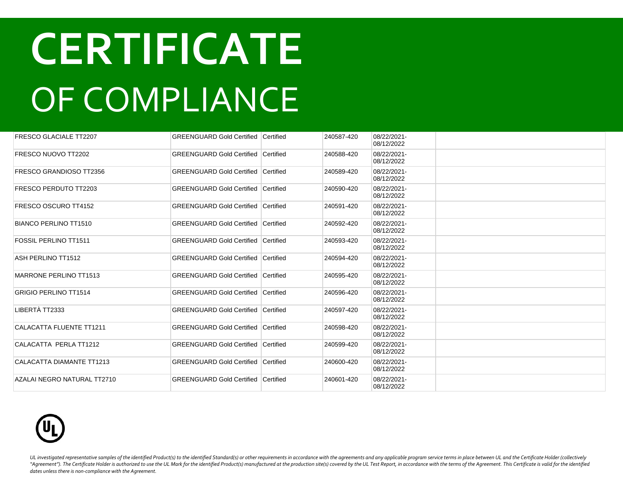| <b>FRESCO GLACIALE TT2207</b>   | <b>GREENGUARD Gold Certified Certified</b> |                  | 240587-420 | 08/22/2021-<br>08/12/2022 |  |
|---------------------------------|--------------------------------------------|------------------|------------|---------------------------|--|
| FRESCO NUOVO TT2202             | <b>GREENGUARD Gold Certified Certified</b> |                  | 240588-420 | 08/22/2021-<br>08/12/2022 |  |
| FRESCO GRANDIOSO TT2356         | <b>GREENGUARD Gold Certified Certified</b> |                  | 240589-420 | 08/22/2021-<br>08/12/2022 |  |
| FRESCO PERDUTO TT2203           | <b>GREENGUARD Gold Certified</b>           | <b>Certified</b> | 240590-420 | 08/22/2021-<br>08/12/2022 |  |
| FRESCO OSCURO TT4152            | <b>GREENGUARD Gold Certified Certified</b> |                  | 240591-420 | 08/22/2021-<br>08/12/2022 |  |
| <b>BIANCO PERLINO TT1510</b>    | <b>GREENGUARD Gold Certified</b>           | Certified        | 240592-420 | 08/22/2021-<br>08/12/2022 |  |
| <b>FOSSIL PERLINO TT1511</b>    | <b>GREENGUARD Gold Certified</b>           | <b>Certified</b> | 240593-420 | 08/22/2021-<br>08/12/2022 |  |
| ASH PERLINO TT1512              | <b>GREENGUARD Gold Certified</b>           | Certified        | 240594-420 | 08/22/2021-<br>08/12/2022 |  |
| <b>MARRONE PERLINO TT1513</b>   | <b>GREENGUARD Gold Certified</b>           | Certified        | 240595-420 | 08/22/2021-<br>08/12/2022 |  |
| <b>GRIGIO PERLINO TT1514</b>    | <b>GREENGUARD Gold Certified</b>           | Certified        | 240596-420 | 08/22/2021-<br>08/12/2022 |  |
| LIBERTÀ TT2333                  | <b>GREENGUARD Gold Certified</b>           | Certified        | 240597-420 | 08/22/2021-<br>08/12/2022 |  |
| <b>CALACATTA FLUENTE TT1211</b> | <b>GREENGUARD Gold Certified</b>           | Certified        | 240598-420 | 08/22/2021-<br>08/12/2022 |  |
| CALACATTA PERLA TT1212          | <b>GREENGUARD Gold Certified</b>           | Certified        | 240599-420 | 08/22/2021-<br>08/12/2022 |  |
| CALACATTA DIAMANTE TT1213       | <b>GREENGUARD Gold Certified</b>           | Certified        | 240600-420 | 08/22/2021-<br>08/12/2022 |  |
| AZALAI NEGRO NATURAL TT2710     | <b>GREENGUARD Gold Certified</b>           | Certified        | 240601-420 | 08/22/2021-<br>08/12/2022 |  |

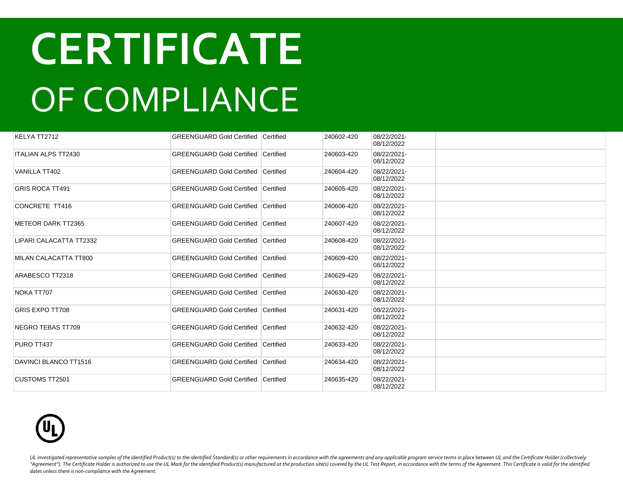| KELYA TT2712            | <b>GREENGUARD Gold Certified Certified</b> |           | 240602-420 | 08/22/2021-<br>08/12/2022 |  |
|-------------------------|--------------------------------------------|-----------|------------|---------------------------|--|
| ITALIAN ALPS TT2430     | <b>GREENGUARD Gold Certified Certified</b> |           | 240603-420 | 08/22/2021-<br>08/12/2022 |  |
| <b>VANILLA TT402</b>    | <b>GREENGUARD Gold Certified Certified</b> |           | 240604-420 | 08/22/2021-<br>08/12/2022 |  |
| GRIS ROCA TT491         | <b>GREENGUARD Gold Certified</b>           | Certified | 240605-420 | 08/22/2021-<br>08/12/2022 |  |
| CONCRETE TT416          | <b>GREENGUARD Gold Certified Certified</b> |           | 240606-420 | 08/22/2021-<br>08/12/2022 |  |
| METEOR DARK TT2365      | <b>GREENGUARD Gold Certified Certified</b> |           | 240607-420 | 08/22/2021-<br>08/12/2022 |  |
| LIPARI CALACATTA TT2332 | <b>GREENGUARD Gold Certified Certified</b> |           | 240608-420 | 08/22/2021-<br>08/12/2022 |  |
| MILAN CALACATTA TT800   | <b>GREENGUARD Gold Certified</b>           | Certified | 240609-420 | 08/22/2021-<br>08/12/2022 |  |
| ARABESCO TT2318         | <b>GREENGUARD Gold Certified Certified</b> |           | 240629-420 | 08/22/2021-<br>08/12/2022 |  |
| NOKA TT707              | <b>GREENGUARD Gold Certified Certified</b> |           | 240630-420 | 08/22/2021-<br>08/12/2022 |  |
| <b>GRIS EXPO TT708</b>  | <b>GREENGUARD Gold Certified Certified</b> |           | 240631-420 | 08/22/2021-<br>08/12/2022 |  |
| NEGRO TEBAS TT709       | <b>GREENGUARD Gold Certified Certified</b> |           | 240632-420 | 08/22/2021-<br>08/12/2022 |  |
| PURO TT437              | <b>GREENGUARD Gold Certified Certified</b> |           | 240633-420 | 08/22/2021-<br>08/12/2022 |  |
| DAVINCI BLANCO TT1516   | GREENGUARD Gold Certified Certified        |           | 240634-420 | 08/22/2021-<br>08/12/2022 |  |
| CUSTOMS TT2501          | GREENGUARD Gold Certified Certified        |           | 240635-420 | 08/22/2021-<br>08/12/2022 |  |

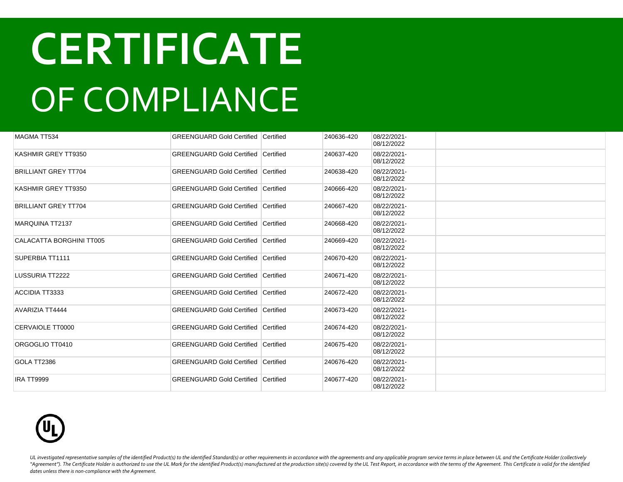| <b>MAGMA TT534</b>              | <b>GREENGUARD Gold Certified Certified</b> |           | 240636-420 | 08/22/2021-<br>08/12/2022 |  |
|---------------------------------|--------------------------------------------|-----------|------------|---------------------------|--|
| KASHMIR GREY TT9350             | <b>GREENGUARD Gold Certified</b>           | Certified | 240637-420 | 08/22/2021-<br>08/12/2022 |  |
| <b>BRILLIANT GREY TT704</b>     | <b>GREENGUARD Gold Certified Certified</b> |           | 240638-420 | 08/22/2021-<br>08/12/2022 |  |
| KASHMIR GREY TT9350             | <b>GREENGUARD Gold Certified</b>           | Certified | 240666-420 | 08/22/2021-<br>08/12/2022 |  |
| <b>BRILLIANT GREY TT704</b>     | <b>GREENGUARD Gold Certified Certified</b> |           | 240667-420 | 08/22/2021-<br>08/12/2022 |  |
| <b>MARQUINA TT2137</b>          | <b>GREENGUARD Gold Certified</b>           | Certified | 240668-420 | 08/22/2021-<br>08/12/2022 |  |
| <b>CALACATTA BORGHINI TT005</b> | <b>GREENGUARD Gold Certified Certified</b> |           | 240669-420 | 08/22/2021-<br>08/12/2022 |  |
| SUPERBIA TT1111                 | <b>GREENGUARD Gold Certified Certified</b> |           | 240670-420 | 08/22/2021-<br>08/12/2022 |  |
| LUSSURIA TT2222                 | <b>GREENGUARD Gold Certified Certified</b> |           | 240671-420 | 08/22/2021-<br>08/12/2022 |  |
| ACCIDIA TT3333                  | <b>GREENGUARD Gold Certified Certified</b> |           | 240672-420 | 08/22/2021-<br>08/12/2022 |  |
| <b>AVARIZIA TT4444</b>          | <b>GREENGUARD Gold Certified Certified</b> |           | 240673-420 | 08/22/2021-<br>08/12/2022 |  |
| CERVAIOLE TT0000                | <b>GREENGUARD Gold Certified</b>           | Certified | 240674-420 | 08/22/2021-<br>08/12/2022 |  |
| ORGOGLIO TT0410                 | <b>GREENGUARD Gold Certified</b>           | Certified | 240675-420 | 08/22/2021-<br>08/12/2022 |  |
| GOLA TT2386                     | <b>GREENGUARD Gold Certified Certified</b> |           | 240676-420 | 08/22/2021-<br>08/12/2022 |  |
| IRA TT9999                      | <b>GREENGUARD Gold Certified Certified</b> |           | 240677-420 | 08/22/2021-<br>08/12/2022 |  |

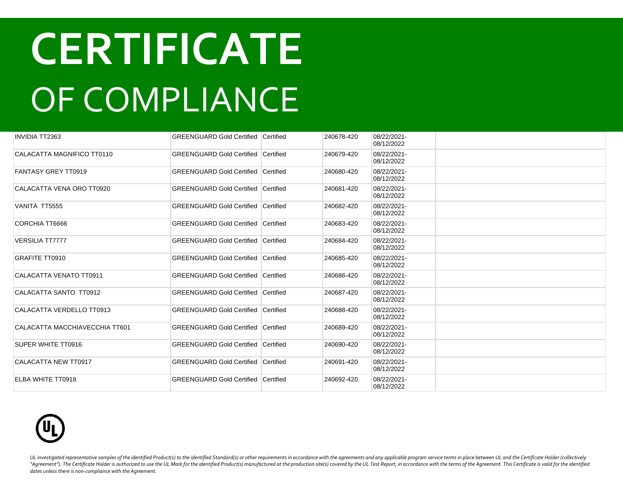| <b>INVIDIA TT2363</b>          | <b>GREENGUARD Gold Certified Certified</b> |           | 240678-420 | 08/22/2021-<br>08/12/2022 |  |
|--------------------------------|--------------------------------------------|-----------|------------|---------------------------|--|
| CALACATTA MAGNIFICO TT0110     | <b>GREENGUARD Gold Certified Certified</b> |           | 240679-420 | 08/22/2021-<br>08/12/2022 |  |
| <b>FANTASY GREY TT0919</b>     | <b>GREENGUARD Gold Certified Certified</b> |           | 240680-420 | 08/22/2021-<br>08/12/2022 |  |
| CALACATTA VENA ORO TT0920      | <b>GREENGUARD Gold Certified</b>           | Certified | 240681-420 | 08/22/2021-<br>08/12/2022 |  |
| VANITÀ TT5555                  | <b>GREENGUARD Gold Certified Certified</b> |           | 240682-420 | 08/22/2021-<br>08/12/2022 |  |
| CORCHIA TT6666                 | <b>GREENGUARD Gold Certified</b>           | Certified | 240683-420 | 08/22/2021-<br>08/12/2022 |  |
| <b>VERSILIA TT7777</b>         | <b>GREENGUARD Gold Certified Certified</b> |           | 240684-420 | 08/22/2021-<br>08/12/2022 |  |
| <b>GRAFITE TT0910</b>          | <b>GREENGUARD Gold Certified</b>           | Certified | 240685-420 | 08/22/2021-<br>08/12/2022 |  |
| CALACATTA VENATO TT0911        | <b>GREENGUARD Gold Certified Certified</b> |           | 240686-420 | 08/22/2021-<br>08/12/2022 |  |
| CALACATTA SANTO TT0912         | <b>GREENGUARD Gold Certified Certified</b> |           | 240687-420 | 08/22/2021-<br>08/12/2022 |  |
| CALACATTA VERDELLO TT0913      | <b>GREENGUARD Gold Certified Certified</b> |           | 240688-420 | 08/22/2021-<br>08/12/2022 |  |
| CALACATTA MACCHIAVECCHIA TT601 | <b>GREENGUARD Gold Certified Certified</b> |           | 240689-420 | 08/22/2021-<br>08/12/2022 |  |
| SUPER WHITE TT0916             | <b>GREENGUARD Gold Certified Certified</b> |           | 240690-420 | 08/22/2021-<br>08/12/2022 |  |
| CALACATTA NEW TT0917           | <b>GREENGUARD Gold Certified Certified</b> |           | 240691-420 | 08/22/2021-<br>08/12/2022 |  |
| ELBA WHITE TT0918              | <b>GREENGUARD Gold Certified Certified</b> |           | 240692-420 | 08/22/2021-<br>08/12/2022 |  |